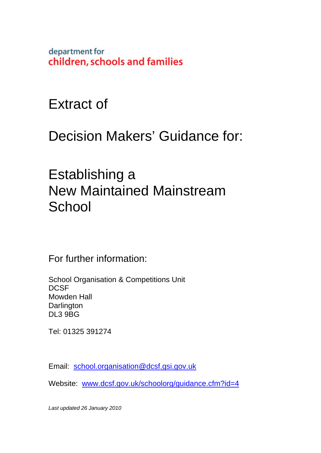department for children, schools and families

Extract of

Decision Makers' Guidance for:

Establishing a New Maintained Mainstream **School** 

For further information:

School Organisation & Competitions Unit **DCSF** Mowden Hall **Darlington** DL3 9BG

Tel: 01325 391274

Email: school.organisation@dcsf.gsi.gov.uk

Website: www.dcsf.gov.uk/schoolorg/guidance.cfm?id=4

*Last updated 26 January 2010*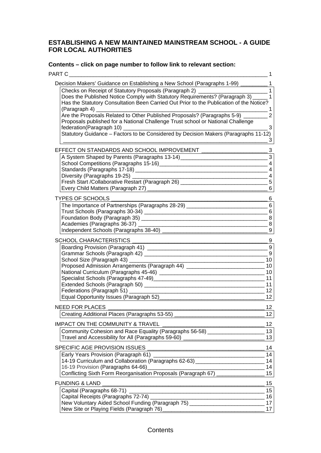#### **ESTABLISHING A NEW MAINTAINED MAINSTREAM SCHOOL - A GUIDE FOR LOCAL AUTHORITIES**

# **Contents – click on page number to follow link to relevant section:**

| PART C                                                                                                 | 1                          |
|--------------------------------------------------------------------------------------------------------|----------------------------|
| Decision Makers' Guidance on Establishing a New School (Paragraphs 1-99) __________ 1                  |                            |
| Checks on Receipt of Statutory Proposals (Paragraph 2) _                                               | $\overline{1}$             |
| Does the Published Notice Comply with Statutory Requirements? (Paragraph 3) _____ 1                    |                            |
| Has the Statutory Consultation Been Carried Out Prior to the Publication of the Notice?                |                            |
| (Paragraph 4) _                                                                                        | $\overline{1}$             |
| Are the Proposals Related to Other Published Proposals? (Paragraphs 5-9) _______                       | $\overline{2}$             |
| Proposals published for a National Challenge Trust school or National Challenge                        |                            |
|                                                                                                        | $\mathbf{3}$               |
| Statutory Guidance - Factors to be Considered by Decision Makers (Paragraphs 11-12)                    | $\mathbf{3}$               |
| EFFECT ON STANDARDS AND SCHOOL IMPROVEMENT                                                             | $\cdot$ 3                  |
| A System Shaped by Parents (Paragraphs 13-14) ___________________________________3                     |                            |
|                                                                                                        | $\overline{4}$             |
|                                                                                                        | $\overline{4}$             |
|                                                                                                        | $\overline{4}$             |
| Fresh Start / Collaborative Restart (Paragraph 26) [20]                                                | $5\phantom{.0}$            |
|                                                                                                        | $-6$                       |
| TYPES OF SCHOOLS                                                                                       | $6 \overline{6}$           |
| The Importance of Partnerships (Paragraphs 28-29) ______________________________                       | 6                          |
|                                                                                                        | $6 \,$                     |
|                                                                                                        |                            |
|                                                                                                        |                            |
|                                                                                                        |                            |
| <b>SCHOOL CHARACTERISTICS</b>                                                                          | $\overline{\phantom{0}}$ 9 |
|                                                                                                        |                            |
|                                                                                                        | 9                          |
| School Size (Paragraph 43) __________________                                                          | 10                         |
| Proposed Admission Arrangements (Paragraph 44) _________________________________                       | 10                         |
|                                                                                                        |                            |
|                                                                                                        | 11                         |
|                                                                                                        | 11                         |
| Federations (Paragraph 51) [19]                                                                        | 12                         |
| Equal Opportunity Issues (Paragraph 52)_________                                                       | 12                         |
| <b>NEED FOR PLACES</b>                                                                                 | 12                         |
| Creating Additional Places (Paragraphs 53-55) __________________________________                       | 12 <sub>2</sub>            |
| <b>IMPACT ON THE COMMUNITY &amp; TRAVEL</b>                                                            | 12                         |
| Community Cohesion and Race Equality (Paragraphs 56-58) ________________________                       | 13                         |
| Travel and Accessibility for All (Paragraphs 59-60) ____________________________                       | 13                         |
| SPECIFIC AGE PROVISION ISSUES                                                                          | 14                         |
| Early Years Provision (Paragraph 61)                                                                   | 14                         |
| 14-19 Curriculum and Collaboration (Paragraphs 62-63) __________________________                       | 14                         |
| 16-19 Provision (Paragraphs 64-66) [16-19 Provision (Paragraphs 64-66)                                 | 14                         |
| Conflicting Sixth Form Reorganisation Proposals (Paragraph 67)                                         | 15                         |
| <b>FUNDING &amp; LAND</b>                                                                              | 15                         |
|                                                                                                        | 15                         |
| Capital Receipts (Paragraphs 72-74) _<br><u> 1980 - Johann Barn, mars an t-Amerikaansk politiker (</u> | 16                         |
| New Voluntary Aided School Funding (Paragraph 75) ______________________________                       | 17                         |
|                                                                                                        | 17                         |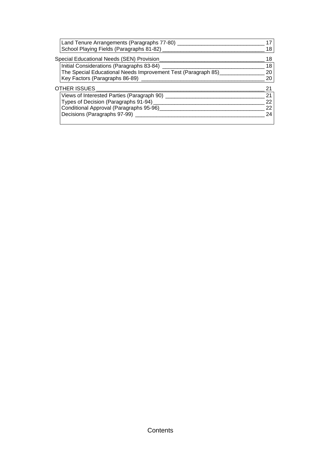| Land Tenure Arrangements (Paragraphs 77-80)                   |    |
|---------------------------------------------------------------|----|
| School Playing Fields (Paragraphs 81-82)                      | 18 |
| Special Educational Needs (SEN) Provision                     | 18 |
| Initial Considerations (Paragraphs 83-84)                     | 18 |
| The Special Educational Needs Improvement Test (Paragraph 85) | 20 |
| Key Factors (Paragraphs 86-89)                                | 20 |
| <b>OTHER ISSUES</b>                                           | 21 |
| Views of Interested Parties (Paragraph 90)                    | 21 |
| Types of Decision (Paragraphs 91-94)                          | 22 |
| Conditional Approval (Paragraphs 95-96)                       | 22 |
| Decisions (Paragraphs 97-99)                                  | 24 |
|                                                               |    |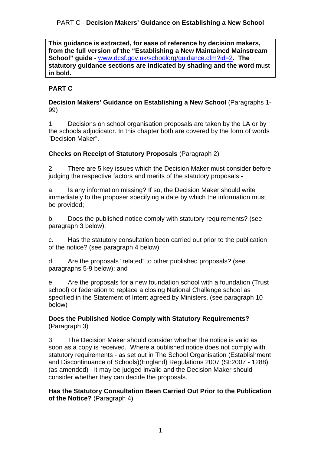**This guidance is extracted, for ease of reference by decision makers, from the full version of the "Establishing a New Maintained Mainstream School" guide -** www.dcsf.gov.uk/schoolorg/guidance.cfm?id=2**. The statutory guidance sections are indicated by shading and the word** must **in bold.** 

# **PART C**

#### **Decision Makers' Guidance on Establishing a New School** (Paragraphs 1- 99)

1. Decisions on school organisation proposals are taken by the LA or by the schools adjudicator. In this chapter both are covered by the form of words "Decision Maker".

# **Checks on Receipt of Statutory Proposals** (Paragraph 2)

2. There are 5 key issues which the Decision Maker must consider before judging the respective factors and merits of the statutory proposals:-

a. Is any information missing? If so, the Decision Maker should write immediately to the proposer specifying a date by which the information must be provided;

b. Does the published notice comply with statutory requirements? (see paragraph 3 below);

c. Has the statutory consultation been carried out prior to the publication of the notice? (see paragraph 4 below);

d. Are the proposals "related" to other published proposals? (see paragraphs 5-9 below); and

e. Are the proposals for a new foundation school with a foundation (Trust school) or federation to replace a closing National Challenge school as specified in the Statement of Intent agreed by Ministers. (see paragraph 10 below)

**Does the Published Notice Comply with Statutory Requirements?**  (Paragraph 3)

3. The Decision Maker should consider whether the notice is valid as soon as a copy is received. Where a published notice does not comply with statutory requirements - as set out in The School Organisation (Establishment and Discontinuance of Schools)(England) Regulations 2007 (SI:2007 - 1288) (as amended) - it may be judged invalid and the Decision Maker should consider whether they can decide the proposals.

**Has the Statutory Consultation Been Carried Out Prior to the Publication of the Notice?** (Paragraph 4)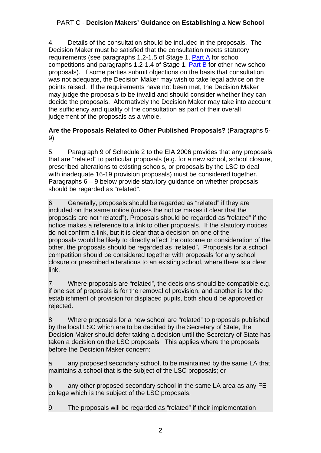4. Details of the consultation should be included in the proposals. The Decision Maker must be satisfied that the consultation meets statutory requirements (see paragraphs 1.2-1.5 of Stage 1, Part A for school competitions and paragraphs 1.2-1.4 of Stage 1, Part B for other new school proposals). If some parties submit objections on the basis that consultation was not adequate, the Decision Maker may wish to take legal advice on the points raised. If the requirements have not been met, the Decision Maker may judge the proposals to be invalid and should consider whether they can decide the proposals. Alternatively the Decision Maker may take into account the sufficiency and quality of the consultation as part of their overall judgement of the proposals as a whole.

# **Are the Proposals Related to Other Published Proposals?** (Paragraphs 5- 9)

5. Paragraph 9 of Schedule 2 to the EIA 2006 provides that any proposals that are "related" to particular proposals (e.g. for a new school, school closure, prescribed alterations to existing schools, or proposals by the LSC to deal with inadequate 16-19 provision proposals) must be considered together. Paragraphs 6 – 9 below provide statutory guidance on whether proposals should be regarded as "related".

6. Generally, proposals should be regarded as "related" if they are included on the same notice (unless the notice makes it clear that the proposals are not "related"). Proposals should be regarded as "related" if the notice makes a reference to a link to other proposals. If the statutory notices do not confirm a link, but it is clear that a decision on one of the proposals would be likely to directly affect the outcome or consideration of the other, the proposals should be regarded as "related"**.** Proposals for a school competition should be considered together with proposals for any school closure or prescribed alterations to an existing school, where there is a clear link.

7. Where proposals are "related", the decisions should be compatible e.g. if one set of proposals is for the removal of provision, and another is for the establishment of provision for displaced pupils, both should be approved or rejected.

8. Where proposals for a new school are "related" to proposals published by the local LSC which are to be decided by the Secretary of State, the Decision Maker should defer taking a decision until the Secretary of State has taken a decision on the LSC proposals. This applies where the proposals before the Decision Maker concern:

a. any proposed secondary school, to be maintained by the same LA that maintains a school that is the subject of the LSC proposals; or

b. any other proposed secondary school in the same LA area as any FE college which is the subject of the LSC proposals.

9. The proposals will be regarded as "related" if their implementation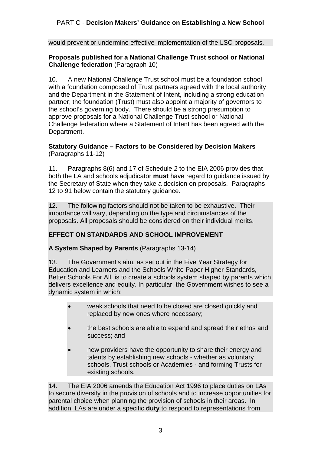would prevent or undermine effective implementation of the LSC proposals.

#### **Proposals published for a National Challenge Trust school or National Challenge federation** (Paragraph 10)

10. A new National Challenge Trust school must be a foundation school with a foundation composed of Trust partners agreed with the local authority and the Department in the Statement of Intent, including a strong education partner; the foundation (Trust) must also appoint a majority of governors to the school's governing body. There should be a strong presumption to approve proposals for a National Challenge Trust school or National Challenge federation where a Statement of Intent has been agreed with the Department.

#### **Statutory Guidance – Factors to be Considered by Decision Makers**  (Paragraphs 11-12)

11. Paragraphs 8(6) and 17 of Schedule 2 to the EIA 2006 provides that both the LA and schools adjudicator **must** have regard to guidance issued by the Secretary of State when they take a decision on proposals. Paragraphs 12 to 91 below contain the statutory guidance.

12. The following factors should not be taken to be exhaustive. Their importance will vary, depending on the type and circumstances of the proposals. All proposals should be considered on their individual merits.

## **EFFECT ON STANDARDS AND SCHOOL IMPROVEMENT**

**A System Shaped by Parents** (Paragraphs 13-14)

13. The Government's aim, as set out in the Five Year Strategy for Education and Learners and the Schools White Paper Higher Standards, Better Schools For All, is to create a schools system shaped by parents which delivers excellence and equity. In particular, the Government wishes to see a dynamic system in which:

- weak schools that need to be closed are closed quickly and replaced by new ones where necessary;
- the best schools are able to expand and spread their ethos and success; and
- new providers have the opportunity to share their energy and talents by establishing new schools - whether as voluntary schools, Trust schools or Academies - and forming Trusts for existing schools.

14. The EIA 2006 amends the Education Act 1996 to place duties on LAs to secure diversity in the provision of schools and to increase opportunities for parental choice when planning the provision of schools in their areas. In addition, LAs are under a specific **duty** to respond to representations from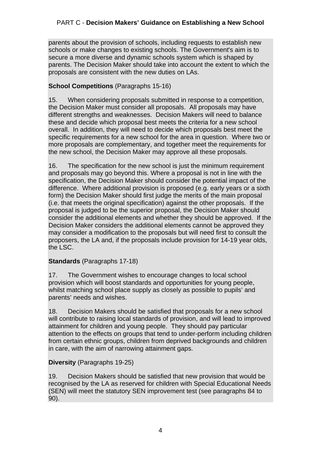parents about the provision of schools, including requests to establish new schools or make changes to existing schools. The Government's aim is to secure a more diverse and dynamic schools system which is shaped by parents. The Decision Maker should take into account the extent to which the proposals are consistent with the new duties on LAs.

## **School Competitions** (Paragraphs 15-16)

15. When considering proposals submitted in response to a competition, the Decision Maker must consider all proposals. All proposals may have different strengths and weaknesses. Decision Makers will need to balance these and decide which proposal best meets the criteria for a new school overall. In addition, they will need to decide which proposals best meet the specific requirements for a new school for the area in question. Where two or more proposals are complementary, and together meet the requirements for the new school, the Decision Maker may approve all these proposals.

16. The specification for the new school is just the minimum requirement and proposals may go beyond this. Where a proposal is not in line with the specification, the Decision Maker should consider the potential impact of the difference. Where additional provision is proposed (e.g. early years or a sixth form) the Decision Maker should first judge the merits of the main proposal (i.e. that meets the original specification) against the other proposals. If the proposal is judged to be the superior proposal, the Decision Maker should consider the additional elements and whether they should be approved. If the Decision Maker considers the additional elements cannot be approved they may consider a modification to the proposals but will need first to consult the proposers, the LA and, if the proposals include provision for 14-19 year olds, the LSC.

## **Standards** (Paragraphs 17-18)

17. The Government wishes to encourage changes to local school provision which will boost standards and opportunities for young people, whilst matching school place supply as closely as possible to pupils' and parents' needs and wishes.

18. Decision Makers should be satisfied that proposals for a new school will contribute to raising local standards of provision, and will lead to improved attainment for children and young people. They should pay particular attention to the effects on groups that tend to under-perform including children from certain ethnic groups, children from deprived backgrounds and children in care, with the aim of narrowing attainment gaps.

## **Diversity** (Paragraphs 19-25)

19. Decision Makers should be satisfied that new provision that would be recognised by the LA as reserved for children with Special Educational Needs (SEN) will meet the statutory SEN improvement test (see paragraphs 84 to 90).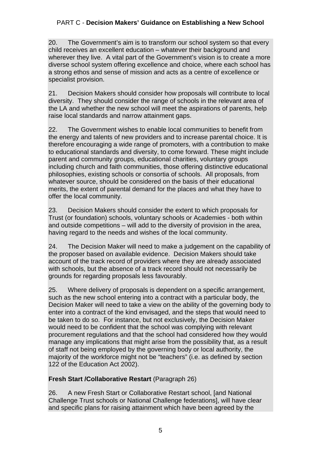20. The Government's aim is to transform our school system so that every child receives an excellent education – whatever their background and wherever they live. A vital part of the Government's vision is to create a more diverse school system offering excellence and choice, where each school has a strong ethos and sense of mission and acts as a centre of excellence or specialist provision.

21. Decision Makers should consider how proposals will contribute to local diversity. They should consider the range of schools in the relevant area of the LA and whether the new school will meet the aspirations of parents, help raise local standards and narrow attainment gaps.

22. The Government wishes to enable local communities to benefit from the energy and talents of new providers and to increase parental choice. It is therefore encouraging a wide range of promoters, with a contribution to make to educational standards and diversity, to come forward. These might include parent and community groups, educational charities, voluntary groups including church and faith communities, those offering distinctive educational philosophies, existing schools or consortia of schools. All proposals, from whatever source, should be considered on the basis of their educational merits, the extent of parental demand for the places and what they have to offer the local community.

23. Decision Makers should consider the extent to which proposals for Trust (or foundation) schools, voluntary schools or Academies - both within and outside competitions – will add to the diversity of provision in the area, having regard to the needs and wishes of the local community.

24. The Decision Maker will need to make a judgement on the capability of the proposer based on available evidence. Decision Makers should take account of the track record of providers where they are already associated with schools, but the absence of a track record should not necessarily be grounds for regarding proposals less favourably.

25. Where delivery of proposals is dependent on a specific arrangement, such as the new school entering into a contract with a particular body, the Decision Maker will need to take a view on the ability of the governing body to enter into a contract of the kind envisaged, and the steps that would need to be taken to do so. For instance, but not exclusively, the Decision Maker would need to be confident that the school was complying with relevant procurement regulations and that the school had considered how they would manage any implications that might arise from the possibility that, as a result of staff not being employed by the governing body or local authority, the majority of the workforce might not be "teachers" (i.e. as defined by section 122 of the Education Act 2002).

## **Fresh Start /Collaborative Restart** (Paragraph 26)

26. A new Fresh Start or Collaborative Restart school, [and National Challenge Trust schools or National Challenge federations], will have clear and specific plans for raising attainment which have been agreed by the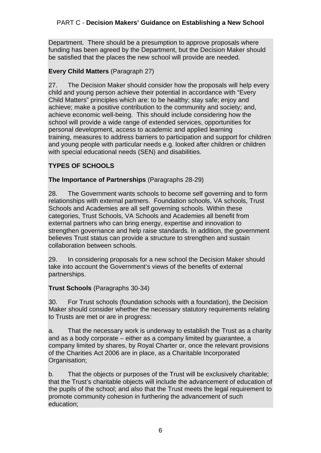Department. There should be a presumption to approve proposals where funding has been agreed by the Department, but the Decision Maker should be satisfied that the places the new school will provide are needed.

## **Every Child Matters** (Paragraph 27)

27. The Decision Maker should consider how the proposals will help every child and young person achieve their potential in accordance with "Every Child Matters" principles which are: to be healthy; stay safe; enjoy and achieve; make a positive contribution to the community and society; and, achieve economic well-being. This should include considering how the school will provide a wide range of extended services, opportunities for personal development, access to academic and applied learning training, measures to address barriers to participation and support for children and young people with particular needs e.g. looked after children or children with special educational needs (SEN) and disabilities.

# **TYPES OF SCHOOLS**

## **The Importance of Partnerships** (Paragraphs 28-29)

28. The Government wants schools to become self governing and to form relationships with external partners. Foundation schools, VA schools, Trust Schools and Academies are all self governing schools. Within these categories, Trust Schools, VA Schools and Academies all benefit from external partners who can bring energy, expertise and innovation to strengthen governance and help raise standards. In addition, the government believes Trust status can provide a structure to strengthen and sustain collaboration between schools.

29. In considering proposals for a new school the Decision Maker should take into account the Government's views of the benefits of external partnerships.

#### **Trust Schools** (Paragraphs 30-34)

30. For Trust schools (foundation schools with a foundation), the Decision Maker should consider whether the necessary statutory requirements relating to Trusts are met or are in progress:

a. That the necessary work is underway to establish the Trust as a charity and as a body corporate – either as a company limited by guarantee, a company limited by shares, by Royal Charter or, once the relevant provisions of the Charities Act 2006 are in place, as a Charitable Incorporated Organisation;

b. That the objects or purposes of the Trust will be exclusively charitable; that the Trust's charitable objects will include the advancement of education of the pupils of the school; and also that the Trust meets the legal requirement to promote community cohesion in furthering the advancement of such education;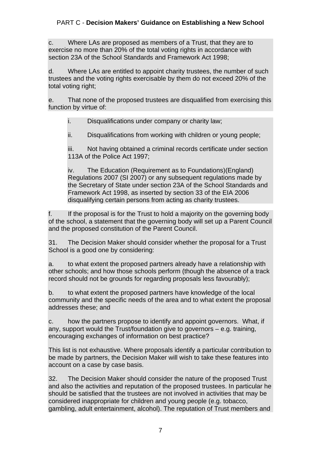c. Where LAs are proposed as members of a Trust, that they are to exercise no more than 20% of the total voting rights in accordance with section 23A of the School Standards and Framework Act 1998;

d. Where LAs are entitled to appoint charity trustees, the number of such trustees and the voting rights exercisable by them do not exceed 20% of the total voting right;

e. That none of the proposed trustees are disqualified from exercising this function by virtue of:

i. Disqualifications under company or charity law;

ii. Disqualifications from working with children or young people;

iii. Not having obtained a criminal records certificate under section 113A of the Police Act 1997;

iv. The Education (Requirement as to Foundations)(England) Regulations 2007 (SI 2007) or any subsequent regulations made by the Secretary of State under section 23A of the School Standards and Framework Act 1998, as inserted by section 33 of the EIA 2006 disqualifying certain persons from acting as charity trustees.

f. If the proposal is for the Trust to hold a majority on the governing body of the school, a statement that the governing body will set up a Parent Council and the proposed constitution of the Parent Council.

31. The Decision Maker should consider whether the proposal for a Trust School is a good one by considering:

a. to what extent the proposed partners already have a relationship with other schools; and how those schools perform (though the absence of a track record should not be grounds for regarding proposals less favourably);

b. to what extent the proposed partners have knowledge of the local community and the specific needs of the area and to what extent the proposal addresses these; and

c. how the partners propose to identify and appoint governors. What, if any, support would the Trust/foundation give to governors – e.g. training, encouraging exchanges of information on best practice?

This list is not exhaustive. Where proposals identify a particular contribution to be made by partners, the Decision Maker will wish to take these features into account on a case by case basis.

32. The Decision Maker should consider the nature of the proposed Trust and also the activities and reputation of the proposed trustees. In particular he should be satisfied that the trustees are not involved in activities that may be considered inappropriate for children and young people (e.g. tobacco, gambling, adult entertainment, alcohol). The reputation of Trust members and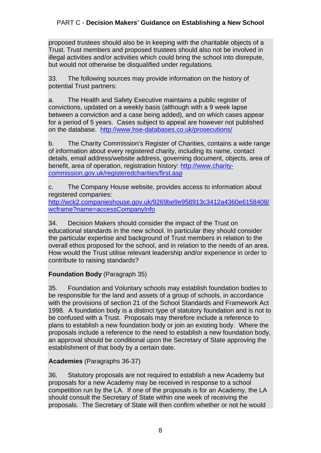proposed trustees should also be in keeping with the charitable objects of a Trust. Trust members and proposed trustees should also not be involved in illegal activities and/or activities which could bring the school into disrepute, but would not otherwise be disqualified under regulations.

33. The following sources may provide information on the history of potential Trust partners:

a. The Health and Safety Executive maintains a public register of convictions, updated on a weekly basis (although with a 9 week lapse between a conviction and a case being added), and on which cases appear for a period of 5 years. Cases subject to appeal are however not published on the database. http://www.hse-databases.co.uk/prosecutions/

b. The Charity Commission's Register of Charities, contains a wide range of information about every registered charity, including its name, contact details, email address/website address, governing document, objects, area of benefit, area of operation, registration history: http://www.charitycommission.gov.uk/registeredcharities/first.asp

c. The Company House website, provides access to information about registered companies:

http://wck2.companieshouse.gov.uk/9269be9e958913c3412a4360e6158408/ wcframe?name=accessCompanyInfo

34. Decision Makers should consider the impact of the Trust on educational standards in the new school. In particular they should consider the particular expertise and background of Trust members in relation to the overall ethos proposed for the school, and in relation to the needs of an area. How would the Trust utilise relevant leadership and/or experience in order to contribute to raising standards?

## **Foundation Body** (Paragraph 35)

35. Foundation and Voluntary schools may establish foundation bodies to be responsible for the land and assets of a group of schools, in accordance with the provisions of section 21 of the School Standards and Framework Act 1998. A foundation body is a distinct type of statutory foundation and is not to be confused with a Trust. Proposals may therefore include a reference to plans to establish a new foundation body or join an existing body. Where the proposals include a reference to the need to establish a new foundation body, an approval should be conditional upon the Secretary of State approving the establishment of that body by a certain date.

## **Academies** (Paragraphs 36-37)

36. Statutory proposals are not required to establish a new Academy but proposals for a new Academy may be received in response to a school competition run by the LA. If one of the proposals is for an Academy, the LA should consult the Secretary of State within one week of receiving the proposals. The Secretary of State will then confirm whether or not he would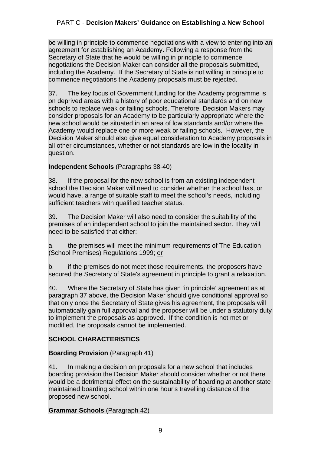be willing in principle to commence negotiations with a view to entering into an agreement for establishing an Academy. Following a response from the Secretary of State that he would be willing in principle to commence negotiations the Decision Maker can consider all the proposals submitted, including the Academy. If the Secretary of State is not willing in principle to commence negotiations the Academy proposals must be rejected.

37. The key focus of Government funding for the Academy programme is on deprived areas with a history of poor educational standards and on new schools to replace weak or failing schools. Therefore, Decision Makers may consider proposals for an Academy to be particularly appropriate where the new school would be situated in an area of low standards and/or where the Academy would replace one or more weak or failing schools. However, the Decision Maker should also give equal consideration to Academy proposals in all other circumstances, whether or not standards are low in the locality in question.

# **Independent Schools** (Paragraphs 38-40)

38. If the proposal for the new school is from an existing independent school the Decision Maker will need to consider whether the school has, or would have, a range of suitable staff to meet the school's needs, including sufficient teachers with qualified teacher status.

39. The Decision Maker will also need to consider the suitability of the premises of an independent school to join the maintained sector. They will need to be satisfied that either:

a. the premises will meet the minimum requirements of The Education (School Premises) Regulations 1999; or

b. if the premises do not meet those requirements, the proposers have secured the Secretary of State's agreement in principle to grant a relaxation.

40. Where the Secretary of State has given 'in principle' agreement as at paragraph 37 above, the Decision Maker should give conditional approval so that only once the Secretary of State gives his agreement, the proposals will automatically gain full approval and the proposer will be under a statutory duty to implement the proposals as approved. If the condition is not met or modified, the proposals cannot be implemented.

# **SCHOOL CHARACTERISTICS**

## **Boarding Provision** (Paragraph 41)

41. In making a decision on proposals for a new school that includes boarding provision the Decision Maker should consider whether or not there would be a detrimental effect on the sustainability of boarding at another state maintained boarding school within one hour's travelling distance of the proposed new school.

## **Grammar Schools** (Paragraph 42)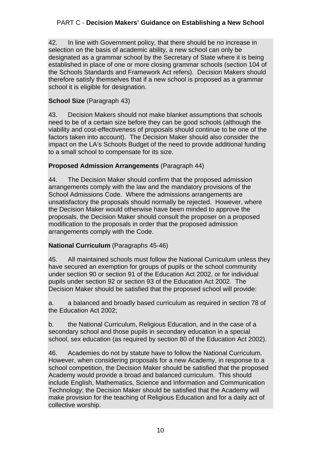42. In line with Government policy, that there should be no increase in selection on the basis of academic ability, a new school can only be designated as a grammar school by the Secretary of State where it is being established in place of one or more closing grammar schools (section 104 of the Schools Standards and Framework Act refers). Decision Makers should therefore satisfy themselves that if a new school is proposed as a grammar school it is eligible for designation.

# **School Size** (Paragraph 43)

43. Decision Makers should not make blanket assumptions that schools need to be of a certain size before they can be good schools (although the viability and cost-effectiveness of proposals should continue to be one of the factors taken into account). The Decision Maker should also consider the impact on the LA's Schools Budget of the need to provide additional funding to a small school to compensate for its size.

## **Proposed Admission Arrangements** (Paragraph 44)

44. The Decision Maker should confirm that the proposed admission arrangements comply with the law and the mandatory provisions of the School Admissions Code. Where the admissions arrangements are unsatisfactory the proposals should normally be rejected. However, where the Decision Maker would otherwise have been minded to approve the proposals, the Decision Maker should consult the proposer on a proposed modification to the proposals in order that the proposed admission arrangements comply with the Code.

## **National Curriculum** (Paragraphs 45-46)

45. All maintained schools must follow the National Curriculum unless they have secured an exemption for groups of pupils or the school community under section 90 or section 91 of the Education Act 2002, or for individual pupils under section 92 or section 93 of the Education Act 2002. The Decision Maker should be satisfied that the proposed school will provide:

a. a balanced and broadly based curriculum as required in section 78 of the Education Act 2002;

b. the National Curriculum, Religious Education, and in the case of a secondary school and those pupils in secondary education in a special school, sex education (as required by section 80 of the Education Act 2002).

46. Academies do not by statute have to follow the National Curriculum. However, when considering proposals for a new Academy, in response to a school competition, the Decision Maker should be satisfied that the proposed Academy would provide a broad and balanced curriculum. This should include English, Mathematics, Science and Information and Communication Technology; the Decision Maker should be satisfied that the Academy will make provision for the teaching of Religious Education and for a daily act of collective worship.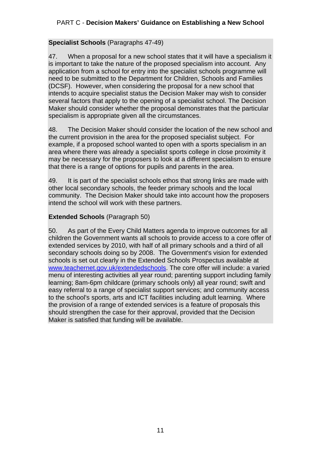#### **Specialist Schools** (Paragraphs 47-49)

47. When a proposal for a new school states that it will have a specialism it is important to take the nature of the proposed specialism into account. Any application from a school for entry into the specialist schools programme will need to be submitted to the Department for Children, Schools and Families (DCSF). However, when considering the proposal for a new school that intends to acquire specialist status the Decision Maker may wish to consider several factors that apply to the opening of a specialist school. The Decision Maker should consider whether the proposal demonstrates that the particular specialism is appropriate given all the circumstances.

48. The Decision Maker should consider the location of the new school and the current provision in the area for the proposed specialist subject. For example, if a proposed school wanted to open with a sports specialism in an area where there was already a specialist sports college in close proximity it may be necessary for the proposers to look at a different specialism to ensure that there is a range of options for pupils and parents in the area.

49. It is part of the specialist schools ethos that strong links are made with other local secondary schools, the feeder primary schools and the local community. The Decision Maker should take into account how the proposers intend the school will work with these partners.

## **Extended Schools** (Paragraph 50)

50. As part of the Every Child Matters agenda to improve outcomes for all children the Government wants all schools to provide access to a core offer of extended services by 2010, with half of all primary schools and a third of all secondary schools doing so by 2008. The Government's vision for extended schools is set out clearly in the Extended Schools Prospectus available at www.teachernet.gov.uk/extendedschools. The core offer will include: a varied menu of interesting activities all year round; parenting support including family learning; 8am-6pm childcare (primary schools only) all year round; swift and easy referral to a range of specialist support services; and community access to the school's sports, arts and ICT facilities including adult learning. Where the provision of a range of extended services is a feature of proposals this should strengthen the case for their approval, provided that the Decision Maker is satisfied that funding will be available.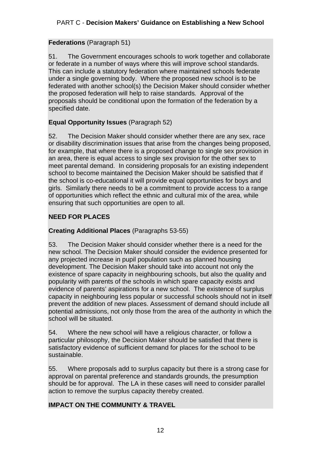# **Federations** (Paragraph 51)

51. The Government encourages schools to work together and collaborate or federate in a number of ways where this will improve school standards. This can include a statutory federation where maintained schools federate under a single governing body. Where the proposed new school is to be federated with another school(s) the Decision Maker should consider whether the proposed federation will help to raise standards*.* Approval of the proposals should be conditional upon the formation of the federation by a specified date.

# **Equal Opportunity Issues** (Paragraph 52)

52. The Decision Maker should consider whether there are any sex, race or disability discrimination issues that arise from the changes being proposed, for example, that where there is a proposed change to single sex provision in an area, there is equal access to single sex provision for the other sex to meet parental demand. In considering proposals for an existing independent school to become maintained the Decision Maker should be satisfied that if the school is co-educational it will provide equal opportunities for boys and girls. Similarly there needs to be a commitment to provide access to a range of opportunities which reflect the ethnic and cultural mix of the area, while ensuring that such opportunities are open to all.

# **NEED FOR PLACES**

# **Creating Additional Places** (Paragraphs 53-55)

53. The Decision Maker should consider whether there is a need for the new school. The Decision Maker should consider the evidence presented for any projected increase in pupil population such as planned housing development. The Decision Maker should take into account not only the existence of spare capacity in neighbouring schools, but also the quality and popularity with parents of the schools in which spare capacity exists and evidence of parents' aspirations for a new school. The existence of surplus capacity in neighbouring less popular or successful schools should not in itself prevent the addition of new places. Assessment of demand should include all potential admissions, not only those from the area of the authority in which the school will be situated.

54. Where the new school will have a religious character, or follow a particular philosophy, the Decision Maker should be satisfied that there is satisfactory evidence of sufficient demand for places for the school to be sustainable.

55. Where proposals add to surplus capacity but there is a strong case for approval on parental preference and standards grounds, the presumption should be for approval. The LA in these cases will need to consider parallel action to remove the surplus capacity thereby created.

## **IMPACT ON THE COMMUNITY & TRAVEL**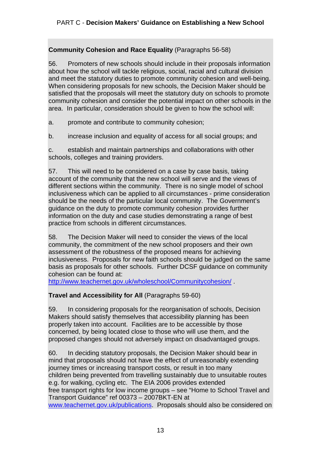# **Community Cohesion and Race Equality** (Paragraphs 56-58)

56. Promoters of new schools should include in their proposals information about how the school will tackle religious, social, racial and cultural division and meet the statutory duties to promote community cohesion and well-being. When considering proposals for new schools, the Decision Maker should be satisfied that the proposals will meet the statutory duty on schools to promote community cohesion and consider the potential impact on other schools in the area. In particular, consideration should be given to how the school will:

a. promote and contribute to community cohesion;

b. increase inclusion and equality of access for all social groups; and

c. establish and maintain partnerships and collaborations with other schools, colleges and training providers.

57. This will need to be considered on a case by case basis, taking account of the community that the new school will serve and the views of different sections within the community. There is no single model of school inclusiveness which can be applied to all circumstances - prime consideration should be the needs of the particular local community. The Government's guidance on the duty to promote community cohesion provides further information on the duty and case studies demonstrating a range of best practice from schools in different circumstances.

58. The Decision Maker will need to consider the views of the local community, the commitment of the new school proposers and their own assessment of the robustness of the proposed means for achieving inclusiveness. Proposals for new faith schools should be judged on the same basis as proposals for other schools. Further DCSF guidance on community cohesion can be found at:

http://www.teachernet.gov.uk/wholeschool/Communitycohesion/ .

## **Travel and Accessibility for All** (Paragraphs 59-60)

59. In considering proposals for the reorganisation of schools, Decision Makers should satisfy themselves that accessibility planning has been properly taken into account. Facilities are to be accessible by those concerned, by being located close to those who will use them, and the proposed changes should not adversely impact on disadvantaged groups.

60. In deciding statutory proposals, the Decision Maker should bear in mind that proposals should not have the effect of unreasonably extending journey times or increasing transport costs, or result in too many children being prevented from travelling sustainably due to unsuitable routes e.g. for walking, cycling etc. The EIA 2006 provides extended free transport rights for low income groups – see "Home to School Travel and Transport Guidance" ref 00373 – 2007BKT-EN at www.teachernet.gov.uk/publications. Proposals should also be considered on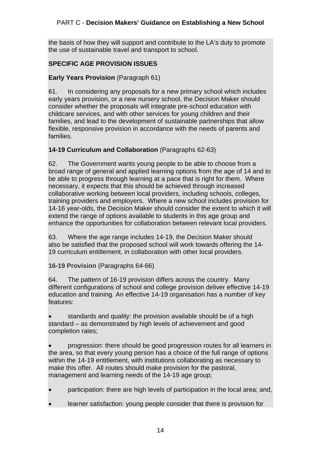the basis of how they will support and contribute to the LA's duty to promote the use of sustainable travel and transport to school.

# **SPECIFIC AGE PROVISION ISSUES**

# **Early Years Provision** (Paragraph 61)

61. In considering any proposals for a new primary school which includes early years provision, or a new nursery school, the Decision Maker should consider whether the proposals will integrate pre-school education with childcare services, and with other services for young children and their families, and lead to the development of sustainable partnerships that allow flexible, responsive provision in accordance with the needs of parents and families.

## **14-19 Curriculum and Collaboration** (Paragraphs 62-63)

62. The Government wants young people to be able to choose from a broad range of general and applied learning options from the age of 14 and to be able to progress through learning at a pace that is right for them. Where necessary, it expects that this should be achieved through increased collaborative working between local providers, including schools, colleges, training providers and employers. Where a new school includes provision for 14-16 year-olds, the Decision Maker should consider the extent to which it will extend the range of options available to students in this age group and enhance the opportunities for collaboration between relevant local providers.

63. Where the age range includes 14-19, the Decision Maker should also be satisfied that the proposed school will work towards offering the 14- 19 curriculum entitlement, in collaboration with other local providers.

**16-19 Provision** (Paragraphs 64-66)

64. The pattern of 16-19 provision differs across the country. Many different configurations of school and college provision deliver effective 14-19 education and training. An effective 14-19 organisation has a number of key features:

 standards and quality: the provision available should be of a high standard – as demonstrated by high levels of achievement and good completion rates;

 progression: there should be good progression routes for all learners in the area, so that every young person has a choice of the full range of options within the 14-19 entitlement, with institutions collaborating as necessary to make this offer. All routes should make provision for the pastoral, management and learning needs of the 14-19 age group;

participation: there are high levels of participation in the local area; and,

learner satisfaction: young people consider that there is provision for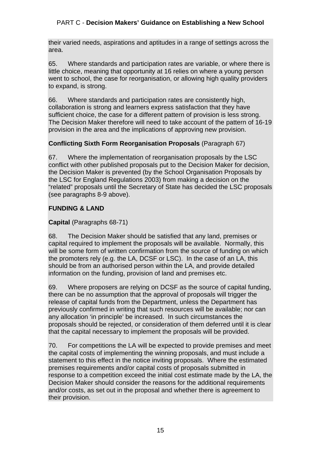their varied needs, aspirations and aptitudes in a range of settings across the area.

65. Where standards and participation rates are variable, or where there is little choice, meaning that opportunity at 16 relies on where a young person went to school, the case for reorganisation, or allowing high quality providers to expand, is strong.

66. Where standards and participation rates are consistently high, collaboration is strong and learners express satisfaction that they have sufficient choice, the case for a different pattern of provision is less strong. The Decision Maker therefore will need to take account of the pattern of 16-19 provision in the area and the implications of approving new provision.

# **Conflicting Sixth Form Reorganisation Proposals** (Paragraph 67)

67. Where the implementation of reorganisation proposals by the LSC conflict with other published proposals put to the Decision Maker for decision, the Decision Maker is prevented (by the School Organisation Proposals by the LSC for England Regulations 2003) from making a decision on the "related" proposals until the Secretary of State has decided the LSC proposals (see paragraphs 8-9 above).

## **FUNDING & LAND**

## **Capital** (Paragraphs 68-71)

68. The Decision Maker should be satisfied that any land, premises or capital required to implement the proposals will be available. Normally, this will be some form of written confirmation from the source of funding on which the promoters rely (e.g. the LA, DCSF or LSC). In the case of an LA, this should be from an authorised person within the LA, and provide detailed information on the funding, provision of land and premises etc.

69. Where proposers are relying on DCSF as the source of capital funding, there can be no assumption that the approval of proposals will trigger the release of capital funds from the Department, unless the Department has previously confirmed in writing that such resources will be available; nor can any allocation 'in principle' be increased. In such circumstances the proposals should be rejected, or consideration of them deferred until it is clear that the capital necessary to implement the proposals will be provided.

70. For competitions the LA will be expected to provide premises and meet the capital costs of implementing the winning proposals, and must include a statement to this effect in the notice inviting proposals. Where the estimated premises requirements and/or capital costs of proposals submitted in response to a competition exceed the initial cost estimate made by the LA, the Decision Maker should consider the reasons for the additional requirements and/or costs, as set out in the proposal and whether there is agreement to their provision.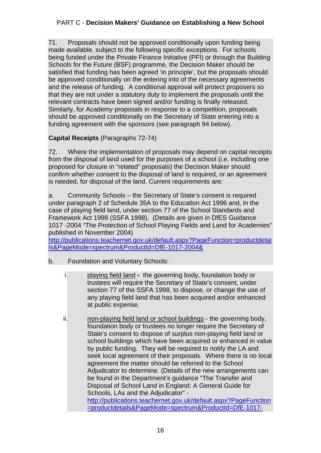71. Proposals should not be approved conditionally upon funding being made available, subject to the following specific exceptions. For schools being funded under the Private Finance Initiative (PFI) or through the Building Schools for the Future (BSF) programme, the Decision Maker should be satisfied that funding has been agreed 'in principle', but the proposals should be approved conditionally on the entering into of the necessary agreements and the release of funding. A conditional approval will protect proposers so that they are not under a statutory duty to implement the proposals until the relevant contracts have been signed and/or funding is finally released. Similarly, for Academy proposals in response to a competition, proposals should be approved conditionally on the Secretary of State entering into a funding agreement with the sponsors (see paragraph 94 below).

# **Capital Receipts** (Paragraphs 72-74)

72. Where the implementation of proposals may depend on capital receipts from the disposal of land used for the purposes of a school (i.e. including one proposed for closure in "related" proposals) the Decision Maker should confirm whether consent to the disposal of land is required, or an agreement is needed, for disposal of the land. Current requirements are:

a. Community Schools – the Secretary of State's consent is required under paragraph 2 of Schedule 35A to the Education Act 1996 and, in the case of playing field land, under section 77 of the School Standards and Framework Act 1998 (SSFA 1998). (Details are given in DfES Guidance 1017 -2004 "The Protection of School Playing Fields and Land for Academies" published in November 2004)

http://publications.teachernet.gov.uk/default.aspx?PageFunction=productdetai ls&PageMode=spectrum&ProductId=DfE-1017-2004&

- b. Foundation and Voluntary Schools:
	- i. playing field landthe governing body, foundation body or trustees will require the Secretary of State's consent, under section 77 of the SSFA 1998, to dispose, or change the use of any playing field land that has been acquired and/or enhanced at public expense.
	- ii. non-playing field land or school buildings the governing body, foundation body or trustees no longer require the Secretary of State's consent to dispose of surplus non-playing field land or school buildings which have been acquired or enhanced in value by public funding. They will be required to notify the LA and seek local agreement of their proposals. Where there is no local agreement the matter should be referred to the School Adjudicator to determine. (Details of the new arrangements can be found in the Department's guidance "The Transfer and Disposal of School Land in England: A General Guide for Schools, LAs and the Adjudicator" http://publications.teachernet.gov.uk/default.aspx?PageFunction =productdetails&PageMode=spectrum&ProductId=DfE-1017-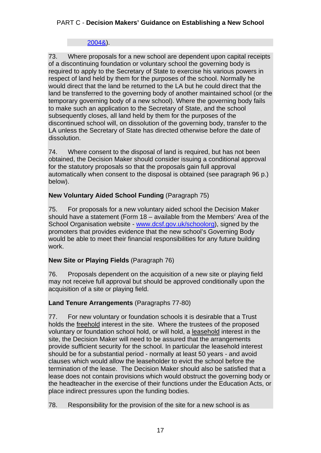#### 2004&).

73. Where proposals for a new school are dependent upon capital receipts of a discontinuing foundation or voluntary school the governing body is required to apply to the Secretary of State to exercise his various powers in respect of land held by them for the purposes of the school. Normally he would direct that the land be returned to the LA but he could direct that the land be transferred to the governing body of another maintained school (or the temporary governing body of a new school). Where the governing body fails to make such an application to the Secretary of State, and the school subsequently closes, all land held by them for the purposes of the discontinued school will, on dissolution of the governing body, transfer to the LA unless the Secretary of State has directed otherwise before the date of dissolution.

74. Where consent to the disposal of land is required, but has not been obtained, the Decision Maker should consider issuing a conditional approval for the statutory proposals so that the proposals gain full approval automatically when consent to the disposal is obtained (see paragraph 96 p.) below).

## **New Voluntary Aided School Funding** (Paragraph 75)

75. For proposals for a new voluntary aided school the Decision Maker should have a statement (Form 18 – available from the Members' Area of the School Organisation website - www.dcsf.gov.uk/schoolorg), signed by the promoters that provides evidence that the new school's Governing Body would be able to meet their financial responsibilities for any future building work.

## **New Site or Playing Fields** (Paragraph 76)

76. Proposals dependent on the acquisition of a new site or playing field may not receive full approval but should be approved conditionally upon the acquisition of a site or playing field.

# **Land Tenure Arrangements** (Paragraphs 77-80)

77. For new voluntary or foundation schools it is desirable that a Trust holds the freehold interest in the site. Where the trustees of the proposed voluntary or foundation school hold, or will hold, a leasehold interest in the site, the Decision Maker will need to be assured that the arrangements provide sufficient security for the school. In particular the leasehold interest should be for a substantial period - normally at least 50 years - and avoid clauses which would allow the leaseholder to evict the school before the termination of the lease. The Decision Maker should also be satisfied that a lease does not contain provisions which would obstruct the governing body or the headteacher in the exercise of their functions under the Education Acts, or place indirect pressures upon the funding bodies.

78. Responsibility for the provision of the site for a new school is as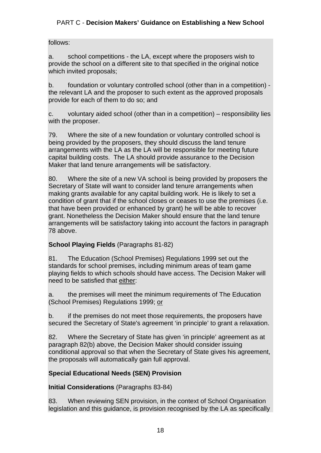## follows:

a. school competitions - the LA, except where the proposers wish to provide the school on a different site to that specified in the original notice which invited proposals;

b. foundation or voluntary controlled school (other than in a competition) the relevant LA and the proposer to such extent as the approved proposals provide for each of them to do so; and

c. voluntary aided school (other than in a competition) – responsibility lies with the proposer.

79. Where the site of a new foundation or voluntary controlled school is being provided by the proposers, they should discuss the land tenure arrangements with the LA as the LA will be responsible for meeting future capital building costs. The LA should provide assurance to the Decision Maker that land tenure arrangements will be satisfactory.

80. Where the site of a new VA school is being provided by proposers the Secretary of State will want to consider land tenure arrangements when making grants available for any capital building work. He is likely to set a condition of grant that if the school closes or ceases to use the premises (i.e. that have been provided or enhanced by grant) he will be able to recover grant. Nonetheless the Decision Maker should ensure that the land tenure arrangements will be satisfactory taking into account the factors in paragraph 78 above.

## **School Playing Fields** (Paragraphs 81-82)

81. The Education (School Premises) Regulations 1999 set out the standards for school premises, including minimum areas of team game playing fields to which schools should have access. The Decision Maker will need to be satisfied that either:

a. the premises will meet the minimum requirements of The Education (School Premises) Regulations 1999; or

b. if the premises do not meet those requirements, the proposers have secured the Secretary of State's agreement 'in principle' to grant a relaxation.

82. Where the Secretary of State has given 'in principle' agreement as at paragraph 82(b) above, the Decision Maker should consider issuing conditional approval so that when the Secretary of State gives his agreement, the proposals will automatically gain full approval.

# **Special Educational Needs (SEN) Provision**

**Initial Considerations** (Paragraphs 83-84)

83. When reviewing SEN provision, in the context of School Organisation legislation and this guidance, is provision recognised by the LA as specifically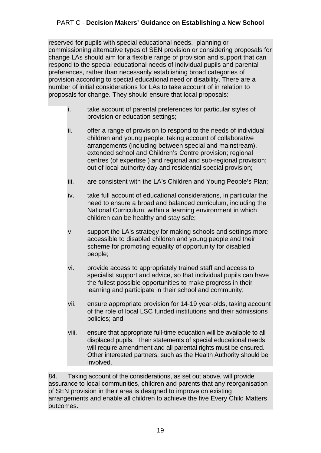reserved for pupils with special educational needs. planning or commissioning alternative types of SEN provision or considering proposals for change LAs should aim for a flexible range of provision and support that can respond to the special educational needs of individual pupils and parental preferences, rather than necessarily establishing broad categories of provision according to special educational need or disability. There are a number of initial considerations for LAs to take account of in relation to proposals for change. They should ensure that local proposals:

- i. take account of parental preferences for particular styles of provision or education settings;
- ii. offer a range of provision to respond to the needs of individual children and young people, taking account of collaborative arrangements (including between special and mainstream), extended school and Children's Centre provision; regional centres (of expertise ) and regional and sub-regional provision; out of local authority day and residential special provision;
- iii. are consistent with the LA's Children and Young People's Plan;
- iv. take full account of educational considerations, in particular the need to ensure a broad and balanced curriculum, including the National Curriculum, within a learning environment in which children can be healthy and stay safe;
- v. support the LA's strategy for making schools and settings more accessible to disabled children and young people and their scheme for promoting equality of opportunity for disabled people;
- vi. provide access to appropriately trained staff and access to specialist support and advice, so that individual pupils can have the fullest possible opportunities to make progress in their learning and participate in their school and community;
- vii. ensure appropriate provision for 14-19 year-olds, taking account of the role of local LSC funded institutions and their admissions policies; and
- viii. ensure that appropriate full-time education will be available to all displaced pupils. Their statements of special educational needs will require amendment and all parental rights must be ensured. Other interested partners, such as the Health Authority should be involved.

84. Taking account of the considerations, as set out above, will provide assurance to local communities, children and parents that any reorganisation of SEN provision in their area is designed to improve on existing arrangements and enable all children to achieve the five Every Child Matters outcomes.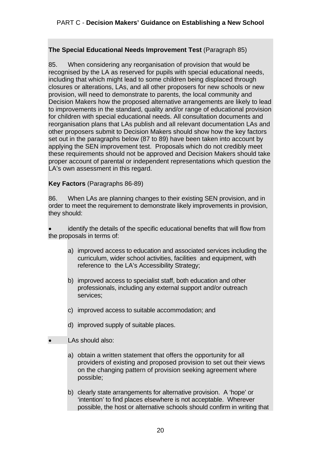#### **The Special Educational Needs Improvement Test** (Paragraph 85)

85. When considering any reorganisation of provision that would be recognised by the LA as reserved for pupils with special educational needs, including that which might lead to some children being displaced through closures or alterations, LAs, and all other proposers for new schools or new provision, will need to demonstrate to parents, the local community and Decision Makers how the proposed alternative arrangements are likely to lead to improvements in the standard, quality and/or range of educational provision for children with special educational needs. All consultation documents and reorganisation plans that LAs publish and all relevant documentation LAs and other proposers submit to Decision Makers should show how the key factors set out in the paragraphs below (87 to 89) have been taken into account by applying the SEN improvement test. Proposals which do not credibly meet these requirements should not be approved and Decision Makers should take proper account of parental or independent representations which question the LA's own assessment in this regard.

#### **Key Factors** (Paragraphs 86-89)

86. When LAs are planning changes to their existing SEN provision, and in order to meet the requirement to demonstrate likely improvements in provision, they should:

 identify the details of the specific educational benefits that will flow from the proposals in terms of:

- a) improved access to education and associated services including the curriculum, wider school activities, facilities and equipment, with reference to the LA's Accessibility Strategy;
- b) improved access to specialist staff, both education and other professionals, including any external support and/or outreach services;
- c) improved access to suitable accommodation; and
- d) improved supply of suitable places.
- LAs should also:
	- a) obtain a written statement that offers the opportunity for all providers of existing and proposed provision to set out their views on the changing pattern of provision seeking agreement where possible;
	- b) clearly state arrangements for alternative provision. A 'hope' or 'intention' to find places elsewhere is not acceptable. Wherever possible, the host or alternative schools should confirm in writing that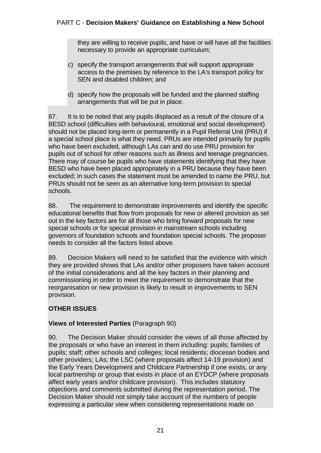they are willing to receive pupils, and have or will have all the facilities necessary to provide an appropriate curriculum;

- c) specify the transport arrangements that will support appropriate access to the premises by reference to the LA's transport policy for SEN and disabled children; and
- d) specify how the proposals will be funded and the planned staffing arrangements that will be put in place.

87. It is to be noted that any pupils displaced as a result of the closure of a BESD school (difficulties with behavioural, emotional and social development) should not be placed long-term or permanently in a Pupil Referral Unit (PRU) if a special school place is what they need. PRUs are intended primarily for pupils who have been excluded, although LAs can and do use PRU provision for pupils out of school for other reasons such as illness and teenage pregnancies. There may of course be pupils who have statements identifying that they have BESD who have been placed appropriately in a PRU because they have been excluded; in such cases the statement must be amended to name the PRU, but PRUs should not be seen as an alternative long-term provision to special schools.

88. The requirement to demonstrate improvements and identify the specific educational benefits that flow from proposals for new or altered provision as set out in the key factors are for all those who bring forward proposals for new special schools or for special provision in mainstream schools including governors of foundation schools and foundation special schools. The proposer needs to consider all the factors listed above.

89. Decision Makers will need to be satisfied that the evidence with which they are provided shows that LAs and/or other proposers have taken account of the initial considerations and all the key factors in their planning and commissioning in order to meet the requirement to demonstrate that the reorganisation or new provision is likely to result in improvements to SEN provision.

# **OTHER ISSUES**

## **Views of Interested Parties** (Paragraph 90)

90. The Decision Maker should consider the views of all those affected by the proposals or who have an interest in them including: pupils; families of pupils; staff; other schools and colleges; local residents; diocesan bodies and other providers; LAs; the LSC (where proposals affect 14-19 provision) and the Early Years Development and Childcare Partnership if one exists, or any local partnership or group that exists in place of an EYDCP (where proposals affect early years and/or childcare provision). This includes statutory objections and comments submitted during the representation period. The Decision Maker should not simply take account of the numbers of people expressing a particular view when considering representations made on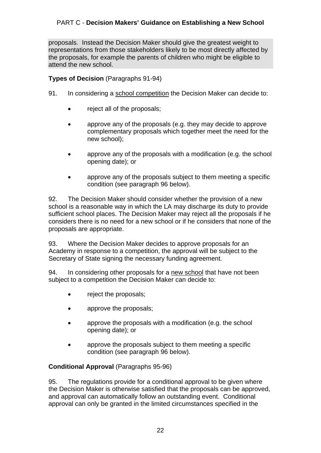proposals. Instead the Decision Maker should give the greatest weight to representations from those stakeholders likely to be most directly affected by the proposals, for example the parents of children who might be eligible to attend the new school.

#### **Types of Decision** (Paragraphs 91-94)

- 91. In considering a school competition the Decision Maker can decide to:
	- reject all of the proposals;
	- approve any of the proposals (e.g. they may decide to approve complementary proposals which together meet the need for the new school);
	- approve any of the proposals with a modification (e.g. the school opening date); or
	- approve any of the proposals subject to them meeting a specific condition (see paragraph 96 below).

92. The Decision Maker should consider whether the provision of a new school is a reasonable way in which the LA may discharge its duty to provide sufficient school places. The Decision Maker may reject all the proposals if he considers there is no need for a new school or if he considers that none of the proposals are appropriate.

93. Where the Decision Maker decides to approve proposals for an Academy in response to a competition, the approval will be subject to the Secretary of State signing the necessary funding agreement.

94. In considering other proposals for a new school that have not been subject to a competition the Decision Maker can decide to:

- reject the proposals;
- approve the proposals;
- approve the proposals with a modification (e.g. the school opening date); or
- approve the proposals subject to them meeting a specific condition (see paragraph 96 below).

#### **Conditional Approval** (Paragraphs 95-96)

95. The regulations provide for a conditional approval to be given where the Decision Maker is otherwise satisfied that the proposals can be approved, and approval can automatically follow an outstanding event. Conditional approval can only be granted in the limited circumstances specified in the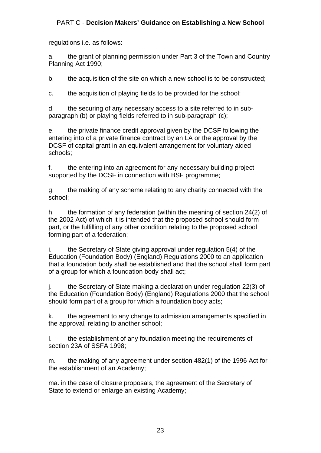regulations i.e. as follows:

a. the grant of planning permission under Part 3 of the Town and Country Planning Act 1990;

b. the acquisition of the site on which a new school is to be constructed;

c. the acquisition of playing fields to be provided for the school;

d. the securing of any necessary access to a site referred to in subparagraph (b) or playing fields referred to in sub-paragraph (c);

e. the private finance credit approval given by the DCSF following the entering into of a private finance contract by an LA or the approval by the DCSF of capital grant in an equivalent arrangement for voluntary aided schools;

f. the entering into an agreement for any necessary building project supported by the DCSF in connection with BSF programme;

g. the making of any scheme relating to any charity connected with the school;

h. the formation of any federation (within the meaning of section 24(2) of the 2002 Act) of which it is intended that the proposed school should form part, or the fulfilling of any other condition relating to the proposed school forming part of a federation;

i. the Secretary of State giving approval under regulation 5(4) of the Education (Foundation Body) (England) Regulations 2000 to an application that a foundation body shall be established and that the school shall form part of a group for which a foundation body shall act;

j. the Secretary of State making a declaration under regulation 22(3) of the Education (Foundation Body) (England) Regulations 2000 that the school should form part of a group for which a foundation body acts;

k. the agreement to any change to admission arrangements specified in the approval, relating to another school;

l. the establishment of any foundation meeting the requirements of section 23A of SSFA 1998;

m. the making of any agreement under section 482(1) of the 1996 Act for the establishment of an Academy;

ma. in the case of closure proposals, the agreement of the Secretary of State to extend or enlarge an existing Academy;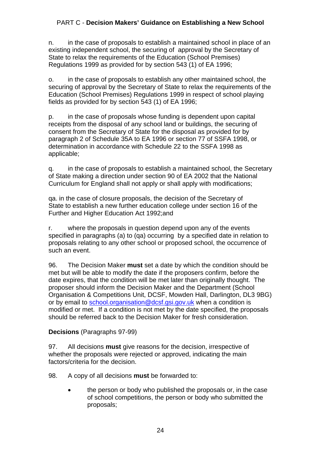n. in the case of proposals to establish a maintained school in place of an existing independent school, the securing of approval by the Secretary of State to relax the requirements of the Education (School Premises) Regulations 1999 as provided for by section 543 (1) of EA 1996;

o. in the case of proposals to establish any other maintained school, the securing of approval by the Secretary of State to relax the requirements of the Education (School Premises) Regulations 1999 in respect of school playing fields as provided for by section 543 (1) of EA 1996;

p. in the case of proposals whose funding is dependent upon capital receipts from the disposal of any school land or buildings, the securing of consent from the Secretary of State for the disposal as provided for by paragraph 2 of Schedule 35A to EA 1996 or section 77 of SSFA 1998, or determination in accordance with Schedule 22 to the SSFA 1998 as applicable;

q. in the case of proposals to establish a maintained school, the Secretary of State making a direction under section 90 of EA 2002 that the National Curriculum for England shall not apply or shall apply with modifications;

qa. in the case of closure proposals, the decision of the Secretary of State to establish a new further education college under section 16 of the Further and Higher Education Act 1992;and

r. where the proposals in question depend upon any of the events specified in paragraphs (a) to (qa) occurring by a specified date in relation to proposals relating to any other school or proposed school, the occurrence of such an event.

96. The Decision Maker **must** set a date by which the condition should be met but will be able to modify the date if the proposers confirm, before the date expires, that the condition will be met later than originally thought. The proposer should inform the Decision Maker and the Department (School Organisation & Competitions Unit, DCSF, Mowden Hall, Darlington, DL3 9BG) or by email to school.organisation@dcsf.gsi.gov.uk when a condition is modified or met. If a condition is not met by the date specified, the proposals should be referred back to the Decision Maker for fresh consideration.

## **Decisions** (Paragraphs 97-99)

97. All decisions **must** give reasons for the decision, irrespective of whether the proposals were rejected or approved, indicating the main factors/criteria for the decision.

98. A copy of all decisions **must** be forwarded to:

 the person or body who published the proposals or, in the case of school competitions, the person or body who submitted the proposals;